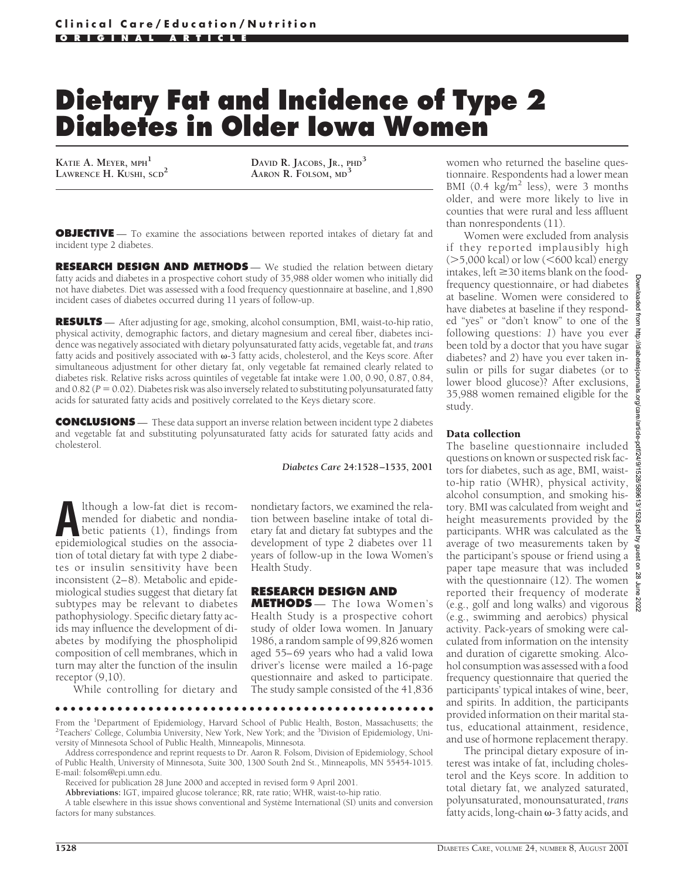# **Dietary Fat and Incidence of Type 2 Diabetes in Older Iowa Women**

**KATIE A. MEYER, MPH1**

**LAWRENCE H. KUSHI, SCD<sup>2</sup> <b>DAVID R.** JACOBS, JR.,  $PHD<sup>3</sup>$ <br>**LAWRENCE H. KUSHI,**  $SCD<sup>2</sup>$  **AARON R.** FOLSOM. MD<sup>3</sup> **AARON R. FOLSOM, MD<sup>3</sup>**

**OBJECTIVE** — To examine the associations between reported intakes of dietary fat and incident type 2 diabetes.

**RESEARCH DESIGN AND METHODS** - We studied the relation between dietary fatty acids and diabetes in a prospective cohort study of 35,988 older women who initially did not have diabetes. Diet was assessed with a food frequency questionnaire at baseline, and 1,890 incident cases of diabetes occurred during 11 years of follow-up.

**RESULTS** — After adjusting for age, smoking, alcohol consumption, BMI, waist-to-hip ratio, physical activity, demographic factors, and dietary magnesium and cereal fiber, diabetes incidence was negatively associated with dietary polyunsaturated fatty acids, vegetable fat, and *trans* fatty acids and positively associated with  $\omega$ -3 fatty acids, cholesterol, and the Keys score. After simultaneous adjustment for other dietary fat, only vegetable fat remained clearly related to diabetes risk. Relative risks across quintiles of vegetable fat intake were 1.00, 0.90, 0.87, 0.84, and  $0.82$  ( $P = 0.02$ ). Diabetes risk was also inversely related to substituting polyunsaturated fatty acids for saturated fatty acids and positively correlated to the Keys dietary score.

**CONCLUSIONS** — These data support an inverse relation between incident type 2 diabetes and vegetable fat and substituting polyunsaturated fatty acids for saturated fatty acids and cholesterol.

*Diabetes Care* **24:1528–1535, 2001**

**A**lthough a low-fat diet is recom-<br>
mended for diabetic and nondia-<br>
betic patients (1), findings from<br>
enidemiological studies on the associamended for diabetic and nondiaepidemiological studies on the association of total dietary fat with type 2 diabetes or insulin sensitivity have been inconsistent (2–8). Metabolic and epidemiological studies suggest that dietary fat subtypes may be relevant to diabetes pathophysiology. Specific dietary fatty acids may influence the development of diabetes by modifying the phospholipid composition of cell membranes, which in turn may alter the function of the insulin receptor  $(9,10)$ .

While controlling for dietary and

### nondietary factors, we examined the relation between baseline intake of total dietary fat and dietary fat subtypes and the development of type 2 diabetes over 11 years of follow-up in the Iowa Women's Health Study.

### **RESEARCH DESIGN AND**

**METHODS** — The Iowa Women's Health Study is a prospective cohort study of older Iowa women. In January 1986, a random sample of 99,826 women aged 55–69 years who had a valid Iowa driver's license were mailed a 16-page questionnaire and asked to participate. The study sample consisted of the 41,836

●●●●●●●●●●●●●●●●●●●●●●●●●●●●●●●●●●●●●●●●●●●●●●●●●

From the <sup>1</sup>Department of Epidemiology, Harvard School of Public Health, Boston, Massachusetts; the <sup>2</sup>Teachers' College, Columbia University, New York, New York: and the <sup>2</sup>Division of Epidemiology, Uni-Teachers' College, Columbia University, New York, New York; and the <sup>3</sup>Division of Epidemiology, University of Minnesota School of Public Health, Minneapolis, Minnesota.

Address correspondence and reprint requests to Dr. Aaron R. Folsom, Division of Epidemiology, School of Public Health, University of Minnesota, Suite 300, 1300 South 2nd St., Minneapolis, MN 55454-1015. E-mail: folsom@epi.umn.edu.

Received for publication 28 June 2000 and accepted in revised form 9 April 2001.

**Abbreviations:** IGT, impaired glucose tolerance; RR, rate ratio; WHR, waist-to-hip ratio.

A table elsewhere in this issue shows conventional and Système International (SI) units and conversion factors for many substances.

women who returned the baseline questionnaire. Respondents had a lower mean BMI (0.4  $kg/m^2$  less), were 3 months older, and were more likely to live in counties that were rural and less affluent than nonrespondents (11).

Women were excluded from analysis if they reported implausibly high  $(>=5,000$  kcal) or low  $(<600$  kcal) energy intakes, left  $\geq$  30 items blank on the foodfrequency questionnaire, or had diabetes at baseline. Women were considered to have diabetes at baseline if they responded "yes" or "don't know" to one of the following questions: *1*) have you ever been told by a doctor that you have sugar diabetes? and *2*) have you ever taken insulin or pills for sugar diabetes (or to lower blood glucose)? After exclusions, 35,988 women remained eligible for the study.

### Data collection

The baseline questionnaire included questions on known or suspected risk factors for diabetes, such as age, BMI, waistto-hip ratio (WHR), physical activity, alcohol consumption, and smoking history. BMI was calculated from weight and height measurements provided by the participants. WHR was calculated as the average of two measurements taken by the participant's spouse or friend using a paper tape measure that was included with the questionnaire (12). The women reported their frequency of moderate (e.g., golf and long walks) and vigorous (e.g., swimming and aerobics) physical activity. Pack-years of smoking were calculated from information on the intensity and duration of cigarette smoking. Alcohol consumption was assessed with a food frequency questionnaire that queried the participants' typical intakes of wine, beer, and spirits. In addition, the participants provided information on their marital status, educational attainment, residence, and use of hormone replacement therapy.

The principal dietary exposure of interest was intake of fat, including cholesterol and the Keys score. In addition to total dietary fat, we analyzed saturated, polyunsaturated, monounsaturated, *trans* fatty acids, long-chain  $\omega$ -3 fatty acids, and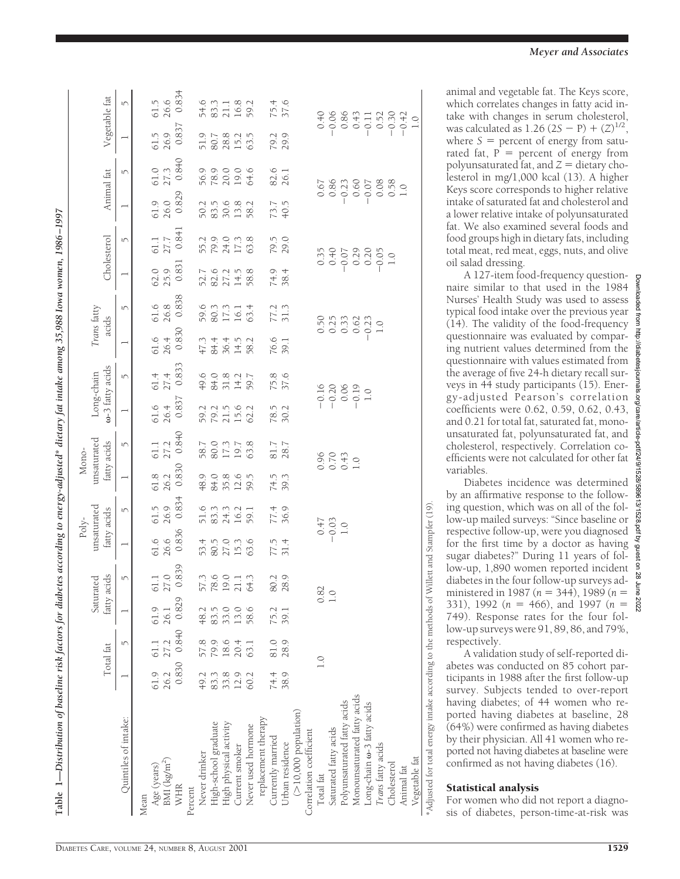| Table 1—Distribution of baseline risk factors for diabetes according to energy-adjusted* dietary fat intake among 35,988 Iowa women, 1986–1997 |      |                      |              |                             |                                     |                      |              |                                     |                                         |                                      |                                |                              |                                |                            |                                                                          |                                                                              |                                                                           |                         |
|------------------------------------------------------------------------------------------------------------------------------------------------|------|----------------------|--------------|-----------------------------|-------------------------------------|----------------------|--------------|-------------------------------------|-----------------------------------------|--------------------------------------|--------------------------------|------------------------------|--------------------------------|----------------------------|--------------------------------------------------------------------------|------------------------------------------------------------------------------|---------------------------------------------------------------------------|-------------------------|
|                                                                                                                                                |      | Total fat            |              | fatty acids<br>Saturated    | unsaturated<br>fatty acids<br>Poly- |                      |              | unsaturated<br>fatty acids<br>Mono- | ω-3 fatty acids<br>Long-chain           |                                      | Trans fatty                    | acids                        | Cholesterol                    |                            | Animal fat                                                               |                                                                              | Vegetable fat                                                             |                         |
| Quintiles of intake:                                                                                                                           |      | 5                    |              | $\mathfrak{t}$              |                                     | 5                    |              | 5                                   |                                         | 5                                    |                                | 5                            |                                | 5                          |                                                                          | 5                                                                            |                                                                           | 5                       |
| Mean                                                                                                                                           |      |                      |              |                             |                                     |                      |              |                                     |                                         |                                      |                                |                              |                                |                            |                                                                          |                                                                              |                                                                           |                         |
| BMI (kg/m <sup>-</sup> )<br>Age (years)                                                                                                        | 61.9 | 61.1<br>26.2 27.2    | 61.9<br>26.1 | 27.0<br>$61.1\,$            | 26.6<br>61.6                        | 26.9<br>61.5         | 61.8<br>26.2 | 61.1                                | 61.6<br>26.4                            | 61.4<br>27.4                         | 61.6<br>26.4                   | 26.8<br>61.6                 | 62.0<br>25.9                   | 27.7<br>61.1               | 61.9<br>26.0                                                             | 61.0<br>27.3                                                                 | 26.9<br>61.5                                                              | 26.6<br>61.5            |
| WHR                                                                                                                                            |      | 0.830 0.840 0.829    |              | 0.839                       | 0.836                               | 0.834                | 0.830        | 0.840                               | 0.837                                   | 0.833                                | 0.830                          | 0.838                        | 0.831                          | 0.841                      | 0.829                                                                    | 0.840                                                                        | 0.837                                                                     | 0.834                   |
| Percent                                                                                                                                        |      |                      |              |                             |                                     |                      |              |                                     |                                         |                                      |                                |                              |                                |                            |                                                                          |                                                                              |                                                                           |                         |
| Never drinker                                                                                                                                  | 49.2 |                      | 48.2         |                             |                                     |                      |              |                                     |                                         |                                      |                                |                              |                                |                            |                                                                          |                                                                              |                                                                           |                         |
| High-school graduate                                                                                                                           | 83.3 | 57.8<br>79.9<br>18.6 | 83.5         | 573<br>78.0<br>19.1<br>64.3 | 53.5<br>58.75.6<br>58.75.6          | 51.6<br>83.3<br>16.2 |              | 58.7<br>80.0<br>17.3<br>19.7        | 592562<br>592562                        | $49.0$<br>$84.0$<br>$84.2$<br>$14.2$ | $774918$<br>$74918$<br>$75910$ | 59.3<br>80.3<br>16.1<br>16.1 | $7702158$<br>$727158$<br>$758$ | 55.0<br>59.07.13<br>59.115 | 50.50.6<br>50.50.60<br>50.70.71                                          | 9<br>9<br>9<br>9<br>9<br>9<br>9<br>9<br>9<br>9<br>9<br>9<br>9<br>9<br>9<br>9 | 51.78215.79                                                               | 54.3<br>83.1.48<br>59.2 |
| High physical activity                                                                                                                         | 33.8 |                      | 33.0         |                             |                                     |                      |              |                                     |                                         |                                      |                                |                              |                                |                            |                                                                          |                                                                              |                                                                           |                         |
| Current smoker                                                                                                                                 | 12.9 | 20.4                 | 13.0         |                             |                                     |                      |              |                                     |                                         |                                      |                                |                              |                                |                            |                                                                          |                                                                              |                                                                           |                         |
| Never used hormone                                                                                                                             | 60.2 | 63.1                 | 58.6         |                             |                                     | 59.1                 |              | 63.8                                |                                         | 59.7                                 |                                | 63.4                         |                                |                            | 58.2                                                                     |                                                                              | 63.5                                                                      |                         |
| replacement therapy                                                                                                                            |      |                      |              |                             |                                     |                      |              |                                     |                                         |                                      |                                |                              |                                |                            |                                                                          |                                                                              |                                                                           |                         |
| Currently married                                                                                                                              | 74.4 | 81.0                 | 75.2         | 80.2<br>28.9                |                                     | 77.4<br>36.9         | 74.5<br>39.3 | 81.7                                | 78.5<br>30.2                            | 75.8<br>37.6                         | 76.6<br>39.1                   | 77.2<br>31.3                 |                                | 79.5<br>29.0               | 73.7<br>40.5                                                             | 82.6<br>26.1                                                                 | 79.2<br>29.9                                                              | 75.4<br>37.6            |
| Urban residence                                                                                                                                | 38.9 | 28.9                 | 39.1         |                             | $77.5$<br>31.4                      |                      |              |                                     |                                         |                                      |                                |                              | 74.9<br>38.4                   |                            |                                                                          |                                                                              |                                                                           |                         |
| $(>10,000$ population)                                                                                                                         |      |                      |              |                             |                                     |                      |              |                                     |                                         |                                      |                                |                              |                                |                            |                                                                          |                                                                              |                                                                           |                         |
| Correlation coefficient                                                                                                                        |      |                      |              |                             |                                     |                      |              |                                     |                                         |                                      |                                |                              |                                |                            |                                                                          |                                                                              |                                                                           |                         |
| Total fat                                                                                                                                      |      | $\frac{0}{1}$        |              | 0.82                        |                                     |                      |              |                                     |                                         |                                      |                                |                              |                                |                            |                                                                          |                                                                              |                                                                           |                         |
| Saturated fatty acids                                                                                                                          |      |                      |              | $\overline{1.0}$            | $-0.47$<br>$-0.03$<br>1.0           |                      |              |                                     |                                         |                                      |                                | $0.50$<br>$0.25$             |                                | $0.35$<br>0.40             |                                                                          |                                                                              |                                                                           |                         |
| Polyunsaturated fatty acids                                                                                                                    |      |                      |              |                             |                                     |                      |              | $0.96$<br>$0.70$<br>$0.43$<br>$1.0$ | $-0.16$<br>$-0.20$<br>$-0.19$<br>$-1.0$ |                                      |                                | 0.33                         |                                |                            |                                                                          |                                                                              |                                                                           |                         |
| Monounsaturated fatty acids                                                                                                                    |      |                      |              |                             |                                     |                      |              |                                     |                                         |                                      |                                | 0.62                         |                                |                            |                                                                          |                                                                              |                                                                           |                         |
| Long-chain $\omega$ -3 fatty acids                                                                                                             |      |                      |              |                             |                                     |                      |              |                                     |                                         |                                      | $-0.23$<br>1.0                 |                              | $-0.29$<br>$-0.20$<br>$-0.5$   |                            | $\begin{array}{c} 0.67 \\ 0.86 \\ 0.23 \\ -0.60 \\ -0.07 \\ \end{array}$ |                                                                              | $\begin{array}{c} 0.40 \\ -0.06 \\ -0.08 \\ 0.43 \\ -0.52 \\ \end{array}$ |                         |
| Trans fatty acids                                                                                                                              |      |                      |              |                             |                                     |                      |              |                                     |                                         |                                      |                                |                              |                                |                            |                                                                          | 0.08                                                                         |                                                                           |                         |

Distribution of baseline risk factors for diabetes according to eneroy-adjusted\* dietary fat intake among 35 988 Jowa women 1986–1997. Distribution of baseline risk factors for diabetes according to energy-adjusted\* dietary fat intake among 35,988 Iowa women, 1986–1997 animal and vegetable fat. The Keys score, which correlates changes in fatty acid intake with changes in serum cholesterol, was calculated as 1.26  $(2S - P) + (Z)^{1/2}$ , where  $S =$  percent of energy from saturated fat,  $P =$  percent of energy from polyunsaturated fat, and  $Z =$  dietary cholesterol in mg/1,000 kcal (13). A higher Keys score corresponds to higher relative intake of saturated fat and cholesterol and a lower relative intake of polyunsaturated fat. We also examined several foods and food groups high in dietary fats, including total meat, red meat, eggs, nuts, and olive oil salad dressing.

A 127-item food-frequency questionnaire similar to that used in the 1984 Nurses' Health Study was used to assess typical food intake over the previous year (14). The validity of the food-frequency questionnaire was evaluated by comparing nutrient values determined from the questionnaire with values estimated from the average of five 24-h dietary recall surveys in 44 study participants (15). Energy-adjusted Pearson's correlation coefficients were 0.62, 0.59, 0.62, 0.43, and 0.21 for total fat, saturated fat, monounsaturated fat, polyunsaturated fat, and cholesterol, respectively. Correlation coefficients were not calculated for other fat variables.

Diabetes incidence was determined by an affirmative response to the following question, which was on all of the follow-up mailed surveys: "Since baseline or respective follow-up, were you diagnosed for the first time by a doctor as having sugar diabetes?" During 11 years of follow-up, 1,890 women reported incident diabetes in the four follow-up surveys administered in 1987 ( $n = 344$ ), 1989 ( $n =$ 331), 1992 ( $n = 466$ ), and 1997 ( $n =$ 749). Response rates for the four follow-up surveys were 91, 89, 86, and 79%, respectively.

A validation study of self-reported diabetes was conducted on 85 cohort participants in 1988 after the first follow-up survey. Subjects tended to over-report having diabetes; of 44 women who reported having diabetes at baseline, 28 (64%) were confirmed as having diabetes by their physician. All 41 women who reported not having diabetes at baseline were confirmed as not having diabetes (16).

### Statistical analysis

Cholesterol 1.0 0.58

Animal fat 1.0

Vegetable fat  $\sim 1.0$ 

\*Adjusted for total energy intake according to the methods of Willett and Stampfer (19).

Adjusted for total energy intake according to the methods of Willett and Stampfer (19)

Vegetable fat

Cholesterol Animal fat

 $-0.05$  $1.0$ 

 $\begin{array}{c} 0.08 \\ 0.58 \\ 1.0 \end{array}$ 

20.30

20.42

For women who did not report a diagnosis of diabetes, person-time-at-risk was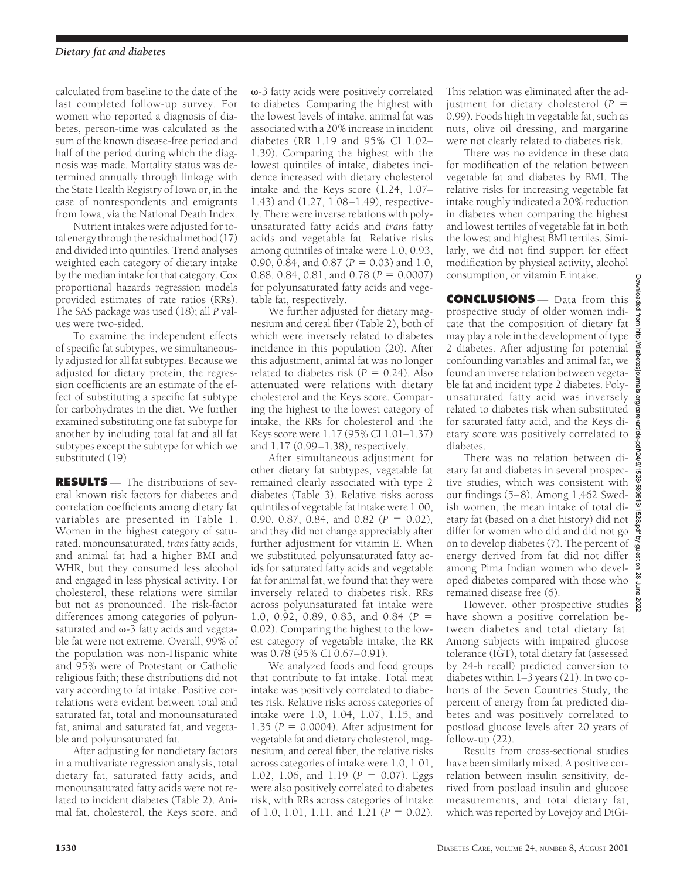calculated from baseline to the date of the last completed follow-up survey. For women who reported a diagnosis of diabetes, person-time was calculated as the sum of the known disease-free period and half of the period during which the diagnosis was made. Mortality status was determined annually through linkage with the State Health Registry of Iowa or, in the case of nonrespondents and emigrants from Iowa, via the National Death Index.

Nutrient intakes were adjusted for total energy through the residual method (17) and divided into quintiles. Trend analyses weighted each category of dietary intake by the median intake for that category. Cox proportional hazards regression models provided estimates of rate ratios (RRs). The SAS package was used (18); all *P* values were two-sided.

To examine the independent effects of specific fat subtypes, we simultaneously adjusted for all fat subtypes. Because we adjusted for dietary protein, the regression coefficients are an estimate of the effect of substituting a specific fat subtype for carbohydrates in the diet. We further examined substituting one fat subtype for another by including total fat and all fat subtypes except the subtype for which we substituted (19).

**RESULTS** — The distributions of several known risk factors for diabetes and correlation coefficients among dietary fat variables are presented in Table 1. Women in the highest category of saturated, monounsaturated, *trans* fatty acids, and animal fat had a higher BMI and WHR, but they consumed less alcohol and engaged in less physical activity. For cholesterol, these relations were similar but not as pronounced. The risk-factor differences among categories of polyunsaturated and  $\omega$ -3 fatty acids and vegetable fat were not extreme. Overall, 99% of the population was non-Hispanic white and 95% were of Protestant or Catholic religious faith; these distributions did not vary according to fat intake. Positive correlations were evident between total and saturated fat, total and monounsaturated fat, animal and saturated fat, and vegetable and polyunsaturated fat.

After adjusting for nondietary factors in a multivariate regression analysis, total dietary fat, saturated fatty acids, and monounsaturated fatty acids were not related to incident diabetes (Table 2). Animal fat, cholesterol, the Keys score, and

 $\omega$ -3 fatty acids were positively correlated to diabetes. Comparing the highest with the lowest levels of intake, animal fat was associated with a 20% increase in incident diabetes (RR 1.19 and 95% CI 1.02– 1.39). Comparing the highest with the lowest quintiles of intake, diabetes incidence increased with dietary cholesterol intake and the Keys score (1.24, 1.07– 1.43) and (1.27, 1.08–1.49), respectively. There were inverse relations with polyunsaturated fatty acids and *trans* fatty acids and vegetable fat. Relative risks among quintiles of intake were 1.0, 0.93, 0.90, 0.84, and 0.87 ( $P = 0.03$ ) and 1.0, 0.88, 0.84, 0.81, and 0.78 ( $P = 0.0007$ ) for polyunsaturated fatty acids and vegetable fat, respectively.

We further adjusted for dietary magnesium and cereal fiber (Table 2), both of which were inversely related to diabetes incidence in this population (20). After this adjustment, animal fat was no longer related to diabetes risk  $(P = 0.24)$ . Also attenuated were relations with dietary cholesterol and the Keys score. Comparing the highest to the lowest category of intake, the RRs for cholesterol and the Keys score were 1.17 (95% CI 1.01–1.37) and 1.17 (0.99–1.38), respectively.

After simultaneous adjustment for other dietary fat subtypes, vegetable fat remained clearly associated with type 2 diabetes (Table 3). Relative risks across quintiles of vegetable fat intake were 1.00, 0.90, 0.87, 0.84, and 0.82 ( $P = 0.02$ ), and they did not change appreciably after further adjustment for vitamin E. When we substituted polyunsaturated fatty acids for saturated fatty acids and vegetable fat for animal fat, we found that they were inversely related to diabetes risk. RRs across polyunsaturated fat intake were 1.0, 0.92, 0.89, 0.83, and 0.84 ( $P =$ 0.02). Comparing the highest to the lowest category of vegetable intake, the RR was 0.78 (95% CI 0.67–0.91).

We analyzed foods and food groups that contribute to fat intake. Total meat intake was positively correlated to diabetes risk. Relative risks across categories of intake were 1.0, 1.04, 1.07, 1.15, and 1.35 ( $P = 0.0004$ ). After adjustment for vegetable fat and dietary cholesterol, magnesium, and cereal fiber, the relative risks across categories of intake were 1.0, 1.01, 1.02, 1.06, and 1.19 ( $P = 0.07$ ). Eggs were also positively correlated to diabetes risk, with RRs across categories of intake of 1.0, 1.01, 1.11, and 1.21 ( $P = 0.02$ ).

This relation was eliminated after the adjustment for dietary cholesterol  $(P =$ 0.99). Foods high in vegetable fat, such as nuts, olive oil dressing, and margarine were not clearly related to diabetes risk.

There was no evidence in these data for modification of the relation between vegetable fat and diabetes by BMI. The relative risks for increasing vegetable fat intake roughly indicated a 20% reduction in diabetes when comparing the highest and lowest tertiles of vegetable fat in both the lowest and highest BMI tertiles. Similarly, we did not find support for effect modification by physical activity, alcohol consumption, or vitamin E intake.

**CONCLUSIONS** — Data from this prospective study of older women indicate that the composition of dietary fat may play a role in the development of type 2 diabetes. After adjusting for potential confounding variables and animal fat, we found an inverse relation between vegetable fat and incident type 2 diabetes. Polyunsaturated fatty acid was inversely related to diabetes risk when substituted for saturated fatty acid, and the Keys dietary score was positively correlated to diabetes.

There was no relation between dietary fat and diabetes in several prospective studies, which was consistent with our findings (5–8). Among 1,462 Swedish women, the mean intake of total dietary fat (based on a diet history) did not differ for women who did and did not go on to develop diabetes (7). The percent of energy derived from fat did not differ among Pima Indian women who developed diabetes compared with those who remained disease free (6).

However, other prospective studies  $\frac{8}{8}$ have shown a positive correlation between diabetes and total dietary fat. Among subjects with impaired glucose tolerance (IGT), total dietary fat (assessed by 24-h recall) predicted conversion to diabetes within 1–3 years (21). In two cohorts of the Seven Countries Study, the percent of energy from fat predicted diabetes and was positively correlated to postload glucose levels after 20 years of follow-up  $(22)$ .

Results from cross-sectional studies have been similarly mixed. A positive correlation between insulin sensitivity, derived from postload insulin and glucose measurements, and total dietary fat, which was reported by Lovejoy and DiGi-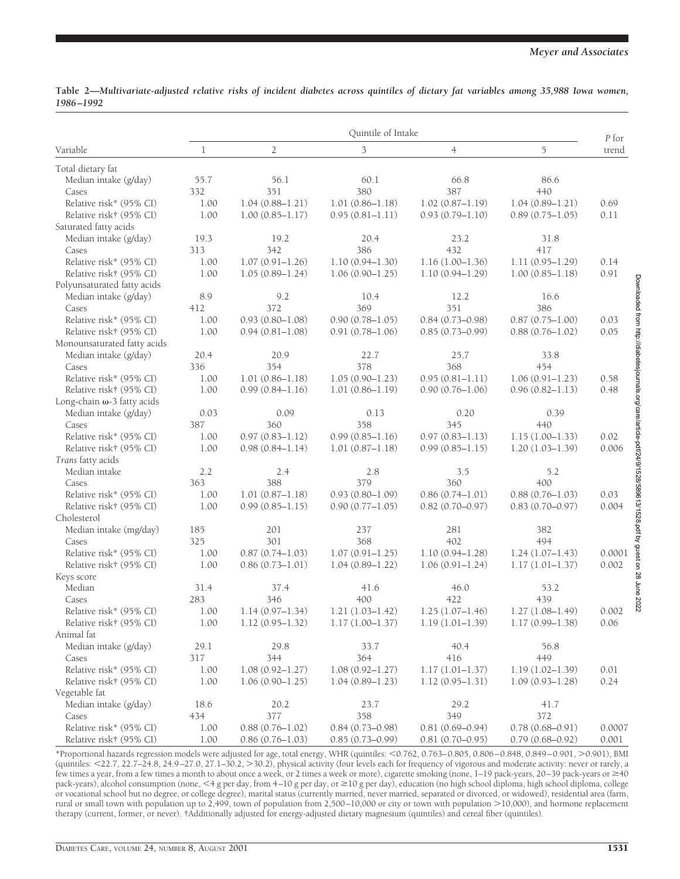|           | Table 2—Multivariate-adjusted relative risks of incident diabetes across quintiles of dietary fat variables among 35,988 Iowa women, |  |  |  |  |  |  |
|-----------|--------------------------------------------------------------------------------------------------------------------------------------|--|--|--|--|--|--|
| 1986-1992 |                                                                                                                                      |  |  |  |  |  |  |

|                                       |      |                     | Quintile of Intake                         |                     |                     | P for                                                                                                      |
|---------------------------------------|------|---------------------|--------------------------------------------|---------------------|---------------------|------------------------------------------------------------------------------------------------------------|
| Variable                              | 1    | $\overline{2}$      | 3                                          | $\overline{4}$      | 5                   | trend                                                                                                      |
| Total dietary fat                     |      |                     |                                            |                     |                     |                                                                                                            |
| Median intake (g/day)                 | 55.7 | 56.1                | 60.1                                       | 66.8                | 86.6                |                                                                                                            |
| Cases                                 | 332  | 351                 | 380                                        | 387                 | 440                 |                                                                                                            |
| Relative risk* (95% CI)               | 1.00 | $1.04(0.88 - 1.21)$ | $1.01(0.86 - 1.18)$                        | $1.02(0.87 - 1.19)$ | $1.04(0.89 - 1.21)$ | 0.69                                                                                                       |
| Relative risk† (95% CI)               | 1.00 | $1.00(0.85 - 1.17)$ | $0.95(0.81 - 1.11)$                        | $0.93(0.79 - 1.10)$ | $0.89(0.75 - 1.05)$ | 0.11                                                                                                       |
| Saturated fatty acids                 |      |                     |                                            |                     |                     |                                                                                                            |
| Median intake (g/day)                 | 19.3 | 19.2                | 20.4                                       | 23.2                | 31.8                |                                                                                                            |
| Cases                                 | 313  | 342                 | 386                                        | 432                 | 417                 |                                                                                                            |
| Relative risk* (95% CI)               | 1.00 | $1.07(0.91 - 1.26)$ | $1.10(0.94 - 1.30)$                        | $1.16(1.00-1.36)$   | $1.11(0.95 - 1.29)$ | 0.14                                                                                                       |
| Relative risk† (95% CI)               | 1.00 | $1.05(0.89 - 1.24)$ | $1.06(0.90 - 1.25)$                        | $1.10(0.94 - 1.29)$ | $1.00(0.85 - 1.18)$ | 0.91                                                                                                       |
| Polyunsaturated fatty acids           |      |                     |                                            |                     |                     |                                                                                                            |
| Median intake (g/day)                 | 8.9  | 9.2                 | 10.4                                       | 12.2                | 16.6                |                                                                                                            |
| Cases                                 | 412  | 372                 | 369                                        | 351                 | 386                 |                                                                                                            |
| Relative risk* (95% CI)               | 1.00 | $0.93(0.80 - 1.08)$ | $0.90(0.78 - 1.05)$                        | $0.84(0.73 - 0.98)$ | $0.87(0.75 - 1.00)$ | 0.03                                                                                                       |
| Relative risk† (95% CI)               | 1.00 | $0.94(0.81 - 1.08)$ | $0.91(0.78 - 1.06)$                        | $0.85(0.73 - 0.99)$ | $0.88(0.76 - 1.02)$ | 0.05                                                                                                       |
| Monounsaturated fatty acids           |      |                     |                                            |                     |                     |                                                                                                            |
| Median intake (g/day)                 | 20.4 | 20.9                | 22.7                                       | 25.7                | 33.8                |                                                                                                            |
| Cases                                 | 336  | 354                 | 378                                        | 368                 | 454                 | Downloaded from http://diabetesjournals.org/care/article-pdf/24/9/1528/589613/1528.pdf by guest on 28 June |
| Relative risk* (95% CI)               | 1.00 | $1.01(0.86 - 1.18)$ | $1.05(0.90 - 1.23)$                        | $0.95(0.81 - 1.11)$ | $1.06(0.91 - 1.23)$ | 0.58                                                                                                       |
| Relative risk† (95% CI)               | 1.00 | $0.99(0.84 - 1.16)$ | $1.01(0.86 - 1.19)$                        | $0.90(0.76 - 1.06)$ | $0.96(0.82 - 1.13)$ | 0.48                                                                                                       |
| Long-chain ω-3 fatty acids            |      |                     |                                            |                     |                     |                                                                                                            |
| Median intake (g/day)                 | 0.03 | 0.09                | 0.13                                       | 0.20                | 0.39                |                                                                                                            |
| Cases                                 | 387  | 360                 | 358                                        | 345                 | 440                 |                                                                                                            |
| Relative risk* (95% CI)               | 1.00 | $0.97(0.83 - 1.12)$ | $0.99(0.85 - 1.16)$                        | $0.97(0.83 - 1.13)$ | $1.15(1.00-1.33)$   | 0.02                                                                                                       |
| Relative risk† (95% CI)               | 1.00 | $0.98(0.84 - 1.14)$ | $1.01(0.87 - 1.18)$                        | $0.99(0.85 - 1.15)$ | $1.20(1.03 - 1.39)$ | 0.006                                                                                                      |
| Trans fatty acids                     |      |                     |                                            |                     |                     |                                                                                                            |
| Median intake                         | 2.2  | 2.4                 | 2.8                                        | 3.5                 | 5.2                 |                                                                                                            |
| Cases                                 | 363  | 388                 | 379                                        | 360                 | 400                 |                                                                                                            |
| Relative risk* (95% CI)               | 1.00 | $1.01(0.87 - 1.18)$ | $0.93(0.80 - 1.09)$                        | $0.86(0.74 - 1.01)$ | $0.88(0.76 - 1.03)$ | 0.03                                                                                                       |
| Relative risk† (95% CI)               | 1.00 | $0.99(0.85 - 1.15)$ | $0.90(0.77 - 1.05)$                        | $0.82(0.70 - 0.97)$ | $0.83(0.70 - 0.97)$ | 0.004                                                                                                      |
| Cholesterol                           |      |                     |                                            |                     |                     |                                                                                                            |
| Median intake (mg/day)                | 185  | 201                 | 237                                        | 281                 | 382                 |                                                                                                            |
| Cases                                 | 325  | 301                 | 368                                        | 402                 | 494                 |                                                                                                            |
| Relative risk* (95% CI)               | 1.00 | $0.87(0.74 - 1.03)$ | $1.07(0.91 - 1.25)$                        | $1.10(0.94 - 1.28)$ | $1.24(1.07-1.43)$   | 0.0001                                                                                                     |
|                                       | 1.00 | $0.86(0.73 - 1.01)$ | $1.04(0.89 - 1.22)$                        | $1.06(0.91 - 1.24)$ |                     | 0.002                                                                                                      |
| Relative risk† (95% CI)<br>Keys score |      |                     |                                            |                     | $1.17(1.01-1.37)$   |                                                                                                            |
| Median                                | 31.4 | 37.4                | 41.6                                       | 46.0                | 53.2                |                                                                                                            |
| Cases                                 | 283  | 346                 | 400                                        | 422                 | 439                 |                                                                                                            |
|                                       |      |                     |                                            |                     |                     | 2022                                                                                                       |
| Relative risk* (95% CI)               | 1.00 | $1.14(0.97 - 1.34)$ | $1.21(1.03 - 1.42)$<br>$1.17(1.00 - 1.37)$ | $1.25(1.07-1.46)$   | $1.27(1.08 - 1.49)$ | 0.002                                                                                                      |
| Relative risk† (95% CI)               | 1.00 | $1.12(0.95 - 1.32)$ |                                            | $1.19(1.01-1.39)$   | $1.17(0.99 - 1.38)$ | 0.06                                                                                                       |
| Animal fat                            |      |                     |                                            |                     |                     |                                                                                                            |
| Median intake (g/day)                 | 29.1 | 29.8                | 33.7                                       | 40.4                | 56.8                |                                                                                                            |
| Cases                                 | 317  | 344                 | 364                                        | 416                 | 449                 |                                                                                                            |
| Relative risk* (95% CI)               | 1.00 | $1.08(0.92 - 1.27)$ | $1.08(0.92 - 1.27)$                        | $1.17(1.01 - 1.37)$ | $1.19(1.02 - 1.39)$ | 0.01                                                                                                       |
| Relative risk† (95% CI)               | 1.00 | $1.06(0.90 - 1.25)$ | $1.04(0.89 - 1.23)$                        | $1.12(0.95 - 1.31)$ | $1.09(0.93 - 1.28)$ | 0.24                                                                                                       |
| Vegetable fat                         |      |                     |                                            |                     |                     |                                                                                                            |
| Median intake (g/day)                 | 18.6 | 20.2                | 23.7                                       | 29.2                | 41.7                |                                                                                                            |
| Cases                                 | 434  | 377                 | 358                                        | 349                 | 372                 |                                                                                                            |
| Relative risk* (95% CI)               | 1.00 | $0.88(0.76 - 1.02)$ | $0.84(0.73 - 0.98)$                        | $0.81(0.69 - 0.94)$ | $0.78(0.68 - 0.91)$ | 0.0007                                                                                                     |
| Relative risk† (95% CI)               | 1.00 | $0.86(0.76 - 1.03)$ | $0.85(0.73 - 0.99)$                        | $0.81(0.70 - 0.95)$ | $0.79(0.68 - 0.92)$ | 0.001                                                                                                      |

\*Proportional hazards regression models were adjusted for age, total energy, WHR (quintiles: ,0.762, 0.763–0.805, 0.806–0.848, 0.849–0.901, .0.901), BMI (quintiles:  $\langle 22.7, 22.7, 22.7, 24.8, 24.9-27.0, 27.1-30.2, \rangle$  physical activity (four levels each for frequency of vigorous and moderate activity: never or rarely, a few times a year, from a few times a month to about once a week, or 2 times a week or more), cigarette smoking (none, 1–19 pack-years, 20–39 pack-years or \$40 pack-years), alcohol consumption (none, <4 g per day, from 4–10 g per day, or  $\geq$ 10 g per day), education (no high school diploma, high school diploma, college or vocational school but no degree, or college degree), marital status (currently married, never married, separated or divorced, or widowed), residential area (farm, rural or small town with population up to 2,499, town of population from 2,500–10,000 or city or town with population >10,000), and hormone replacement therapy (current, former, or never). †Additionally adjusted for energy-adjusted dietary magnesium (quintiles) and cereal fiber (quintiles).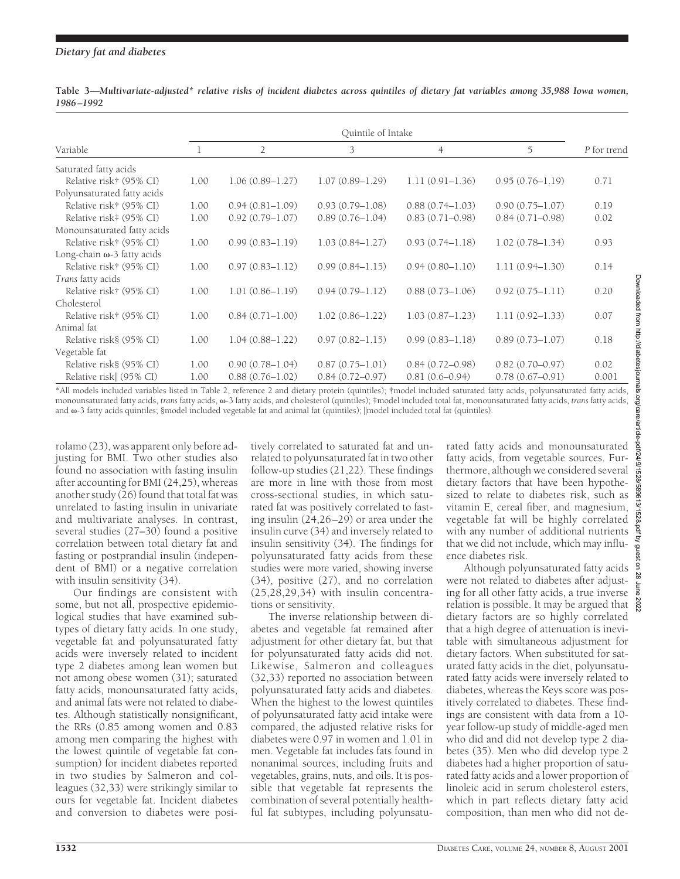## *Dietary fat and diabetes*

|                                    | Quintile of Intake |                     |                     |                     |                     |             |  |  |
|------------------------------------|--------------------|---------------------|---------------------|---------------------|---------------------|-------------|--|--|
| Variable                           |                    | $\overline{2}$      | 3                   | $\overline{4}$      | 5                   | P for trend |  |  |
| Saturated fatty acids              |                    |                     |                     |                     |                     |             |  |  |
| Relative risk† (95% CI)            | 1.00               | $1.06(0.89 - 1.27)$ | $1.07(0.89 - 1.29)$ | $1.11(0.91 - 1.36)$ | $0.95(0.76 - 1.19)$ | 0.71        |  |  |
| Polyunsaturated fatty acids        |                    |                     |                     |                     |                     |             |  |  |
| Relative risk† (95% CI)            | 1.00               | $0.94(0.81-1.09)$   | $0.93(0.79 - 1.08)$ | $0.88(0.74 - 1.03)$ | $0.90(0.75 - 1.07)$ | 0.19        |  |  |
| Relative risk# (95% CI)            | 1.00               | $0.92(0.79 - 1.07)$ | $0.89(0.76 - 1.04)$ | $0.83(0.71 - 0.98)$ | $0.84(0.71 - 0.98)$ | 0.02        |  |  |
| Monounsaturated fatty acids        |                    |                     |                     |                     |                     |             |  |  |
| Relative risk† (95% CI)            | 1.00               | $0.99(0.83 - 1.19)$ | $1.03(0.84 - 1.27)$ | $0.93(0.74 - 1.18)$ | $1.02(0.78 - 1.34)$ | 0.93        |  |  |
| Long-chain $\omega$ -3 fatty acids |                    |                     |                     |                     |                     |             |  |  |
| Relative risk† (95% CI)            | 1.00               | $0.97(0.83 - 1.12)$ | $0.99(0.84 - 1.15)$ | $0.94(0.80 - 1.10)$ | $1.11(0.94 - 1.30)$ | 0.14        |  |  |
| Trans fatty acids                  |                    |                     |                     |                     |                     |             |  |  |
| Relative risk† (95% CI)            | 1.00               | $1.01(0.86 - 1.19)$ | $0.94(0.79 - 1.12)$ | $0.88(0.73 - 1.06)$ | $0.92(0.75 - 1.11)$ | 0.20        |  |  |
| Cholesterol                        |                    |                     |                     |                     |                     |             |  |  |
| Relative risk† (95% CI)            | 1.00               | $0.84(0.71 - 1.00)$ | $1.02(0.86 - 1.22)$ | $1.03(0.87 - 1.23)$ | $1.11(0.92 - 1.33)$ | 0.07        |  |  |
| Animal fat                         |                    |                     |                     |                     |                     |             |  |  |
| Relative risk§ (95% CI)            | 1.00               | $1.04(0.88 - 1.22)$ | $0.97(0.82 - 1.15)$ | $0.99(0.83 - 1.18)$ | $0.89(0.73 - 1.07)$ | 0.18        |  |  |
| Vegetable fat                      |                    |                     |                     |                     |                     |             |  |  |
| Relative risk§ (95% CI)            | 1.00               | $0.90(0.78 - 1.04)$ | $0.87(0.75 - 1.01)$ | $0.84(0.72 - 0.98)$ | $0.82(0.70 - 0.97)$ | 0.02        |  |  |
| Relative risk   (95% CI)           | 1.00               | $0.88(0.76 - 1.02)$ | $0.84(0.72 - 0.97)$ | $0.81(0.6-0.94)$    | $0.78(0.67-0.91)$   | 0.001       |  |  |

**Table 3—***Multivariate-adjusted\* relative risks of incident diabetes across quintiles of dietary fat variables among 35,988 Iowa women, 1986–1992*

\*All models included variables listed in Table 2, reference 2 and dietary protein (quintiles); †model included saturated fatty acids, polyunsaturated fatty acids, monounsaturated fatty acids, *trans* fatty acids,  $\omega$ -3 fatty acids, and cholesterol (quintiles); ‡model included total fat, monounsaturated fatty acids, *trans* fatty acids, and  $\omega$ -3 fatty acids quintiles; §model included vegetable fat and animal fat (quintiles);  $\parallel$ model included total fat (quintiles).

rolamo (23), was apparent only before adjusting for BMI. Two other studies also found no association with fasting insulin after accounting for BMI (24,25), whereas another study (26) found that total fat was unrelated to fasting insulin in univariate and multivariate analyses. In contrast, several studies (27–30) found a positive correlation between total dietary fat and fasting or postprandial insulin (independent of BMI) or a negative correlation with insulin sensitivity (34).

Our findings are consistent with some, but not all, prospective epidemiological studies that have examined subtypes of dietary fatty acids. In one study, vegetable fat and polyunsaturated fatty acids were inversely related to incident type 2 diabetes among lean women but not among obese women (31); saturated fatty acids, monounsaturated fatty acids, and animal fats were not related to diabetes. Although statistically nonsignificant, the RRs (0.85 among women and 0.83 among men comparing the highest with the lowest quintile of vegetable fat consumption) for incident diabetes reported in two studies by Salmeron and colleagues (32,33) were strikingly similar to ours for vegetable fat. Incident diabetes and conversion to diabetes were positively correlated to saturated fat and unrelated to polyunsaturated fat in two other follow-up studies (21,22). These findings are more in line with those from most cross-sectional studies, in which saturated fat was positively correlated to fasting insulin (24,26–29) or area under the insulin curve (34) and inversely related to insulin sensitivity (34). The findings for polyunsaturated fatty acids from these studies were more varied, showing inverse (34), positive (27), and no correlation (25,28,29,34) with insulin concentrations or sensitivity.

The inverse relationship between diabetes and vegetable fat remained after adjustment for other dietary fat, but that for polyunsaturated fatty acids did not. Likewise, Salmeron and colleagues (32,33) reported no association between polyunsaturated fatty acids and diabetes. When the highest to the lowest quintiles of polyunsaturated fatty acid intake were compared, the adjusted relative risks for diabetes were 0.97 in women and 1.01 in men. Vegetable fat includes fats found in nonanimal sources, including fruits and vegetables, grains, nuts, and oils. It is possible that vegetable fat represents the combination of several potentially healthful fat subtypes, including polyunsaturated fatty acids and monounsaturated fatty acids, from vegetable sources. Furthermore, although we considered several dietary factors that have been hypothesized to relate to diabetes risk, such as vitamin E, cereal fiber, and magnesium, vegetable fat will be highly correlated with any number of additional nutrients that we did not include, which may influence diabetes risk.

Although polyunsaturated fatty acids were not related to diabetes after adjusting for all other fatty acids, a true inverse relation is possible. It may be argued that dietary factors are so highly correlated that a high degree of attenuation is inevitable with simultaneous adjustment for dietary factors. When substituted for saturated fatty acids in the diet, polyunsaturated fatty acids were inversely related to diabetes, whereas the Keys score was positively correlated to diabetes. These findings are consistent with data from a 10 year follow-up study of middle-aged men who did and did not develop type 2 diabetes (35). Men who did develop type 2 diabetes had a higher proportion of saturated fatty acids and a lower proportion of linoleic acid in serum cholesterol esters, which in part reflects dietary fatty acid composition, than men who did not de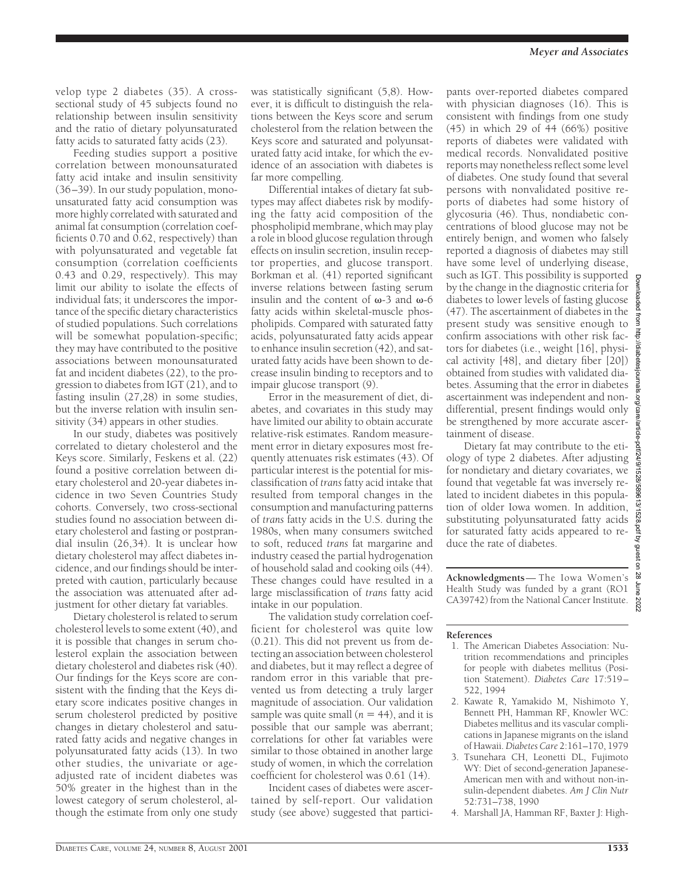velop type 2 diabetes (35). A crosssectional study of 45 subjects found no relationship between insulin sensitivity and the ratio of dietary polyunsaturated fatty acids to saturated fatty acids (23).

Feeding studies support a positive correlation between monounsaturated fatty acid intake and insulin sensitivity (36–39). In our study population, monounsaturated fatty acid consumption was more highly correlated with saturated and animal fat consumption (correlation coefficients 0.70 and 0.62, respectively) than with polyunsaturated and vegetable fat consumption (correlation coefficients 0.43 and 0.29, respectively). This may limit our ability to isolate the effects of individual fats; it underscores the importance of the specific dietary characteristics of studied populations. Such correlations will be somewhat population-specific; they may have contributed to the positive associations between monounsaturated fat and incident diabetes (22), to the progression to diabetes from IGT (21), and to fasting insulin (27,28) in some studies, but the inverse relation with insulin sensitivity (34) appears in other studies.

In our study, diabetes was positively correlated to dietary cholesterol and the Keys score. Similarly, Feskens et al. (22) found a positive correlation between dietary cholesterol and 20-year diabetes incidence in two Seven Countries Study cohorts. Conversely, two cross-sectional studies found no association between dietary cholesterol and fasting or postprandial insulin (26,34). It is unclear how dietary cholesterol may affect diabetes incidence, and our findings should be interpreted with caution, particularly because the association was attenuated after adjustment for other dietary fat variables.

Dietary cholesterol is related to serum cholesterol levels to some extent (40), and it is possible that changes in serum cholesterol explain the association between dietary cholesterol and diabetes risk (40). Our findings for the Keys score are consistent with the finding that the Keys dietary score indicates positive changes in serum cholesterol predicted by positive changes in dietary cholesterol and saturated fatty acids and negative changes in polyunsaturated fatty acids (13). In two other studies, the univariate or ageadjusted rate of incident diabetes was 50% greater in the highest than in the lowest category of serum cholesterol, although the estimate from only one study was statistically significant (5,8). However, it is difficult to distinguish the relations between the Keys score and serum cholesterol from the relation between the Keys score and saturated and polyunsaturated fatty acid intake, for which the evidence of an association with diabetes is far more compelling.

Differential intakes of dietary fat subtypes may affect diabetes risk by modifying the fatty acid composition of the phospholipid membrane, which may play a role in blood glucose regulation through effects on insulin secretion, insulin receptor properties, and glucose transport. Borkman et al. (41) reported significant inverse relations between fasting serum insulin and the content of  $\omega$ -3 and  $\omega$ -6 fatty acids within skeletal-muscle phospholipids. Compared with saturated fatty acids, polyunsaturated fatty acids appear to enhance insulin secretion (42), and saturated fatty acids have been shown to decrease insulin binding to receptors and to impair glucose transport (9).

Error in the measurement of diet, diabetes, and covariates in this study may have limited our ability to obtain accurate relative-risk estimates. Random measurement error in dietary exposures most frequently attenuates risk estimates (43). Of particular interest is the potential for misclassification of *trans* fatty acid intake that resulted from temporal changes in the consumption and manufacturing patterns of *trans* fatty acids in the U.S. during the 1980s, when many consumers switched to soft, reduced *trans* fat margarine and industry ceased the partial hydrogenation of household salad and cooking oils (44). These changes could have resulted in a large misclassification of *trans* fatty acid intake in our population.

The validation study correlation coefficient for cholesterol was quite low (0.21). This did not prevent us from detecting an association between cholesterol and diabetes, but it may reflect a degree of random error in this variable that prevented us from detecting a truly larger magnitude of association. Our validation sample was quite small  $(n = 44)$ , and it is possible that our sample was aberrant; correlations for other fat variables were similar to those obtained in another large study of women, in which the correlation coefficient for cholesterol was 0.61 (14).

Incident cases of diabetes were ascertained by self-report. Our validation study (see above) suggested that participants over-reported diabetes compared with physician diagnoses (16). This is consistent with findings from one study (45) in which 29 of 44 (66%) positive reports of diabetes were validated with medical records. Nonvalidated positive reports may nonetheless reflect some level of diabetes. One study found that several persons with nonvalidated positive reports of diabetes had some history of glycosuria (46). Thus, nondiabetic concentrations of blood glucose may not be entirely benign, and women who falsely reported a diagnosis of diabetes may still have some level of underlying disease, such as IGT. This possibility is supported by the change in the diagnostic criteria for diabetes to lower levels of fasting glucose (47). The ascertainment of diabetes in the present study was sensitive enough to confirm associations with other risk factors for diabetes (i.e., weight [16], physical activity [48], and dietary fiber [20]) obtained from studies with validated diabetes. Assuming that the error in diabetes ascertainment was independent and nondifferential, present findings would only be strengthened by more accurate ascertainment of disease.

Dietary fat may contribute to the etiology of type 2 diabetes. After adjusting for nondietary and dietary covariates, we found that vegetable fat was inversely related to incident diabetes in this population of older Iowa women. In addition, substituting polyunsaturated fatty acids for saturated fatty acids appeared to reduce the rate of diabetes.

**Acknowledgments**— The Iowa Women's Health Study was funded by a grant (RO1 CA39742) from the National Cancer Institute.

#### **References**

- 1. The American Diabetes Association: Nutrition recommendations and principles for people with diabetes mellitus (Position Statement). *Diabetes Care* 17:519– 522, 1994
- 2. Kawate R, Yamakido M, Nishimoto Y, Bennett PH, Hamman RF, Knowler WC: Diabetes mellitus and its vascular complications in Japanese migrants on the island of Hawaii.*Diabetes Care* 2:161–170, 1979
- 3. Tsunehara CH, Leonetti DL, Fujimoto WY: Diet of second-generation Japanese-American men with and without non-insulin-dependent diabetes. *Am J Clin Nutr* 52:731–738, 1990
- 4. Marshall JA, Hamman RF, Baxter J: High-

Downloaded from http://diabetesjournals.org/care/article-pdf/24/9/1528/589613/1528.pdf by guest on 28 June 2022

pdf/24/9/1528/589613/1528.pdf by guest on 28 June

202

org/care/ar

paded from

//diabetespournals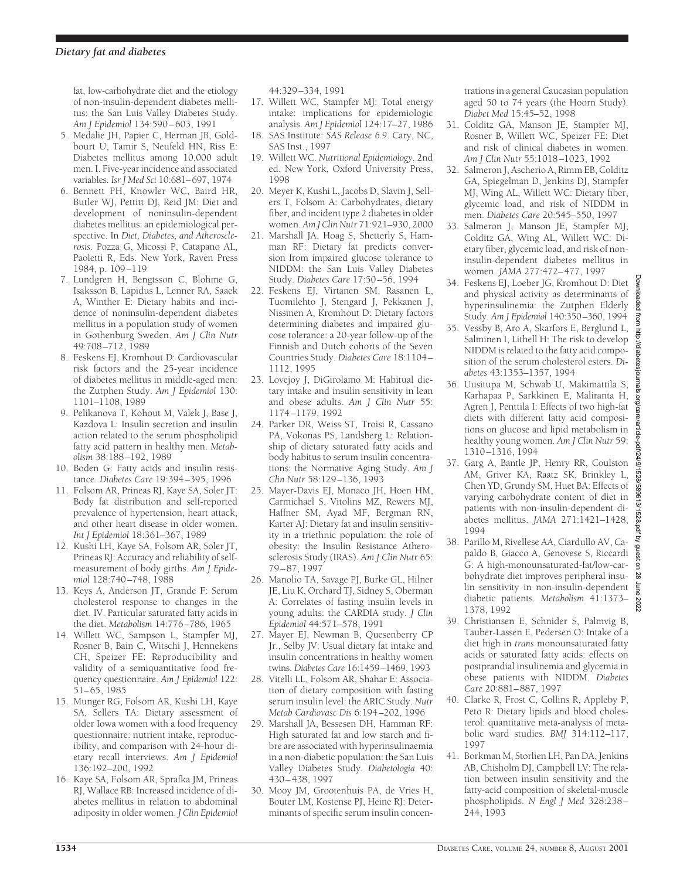fat, low-carbohydrate diet and the etiology of non-insulin-dependent diabetes mellitus: the San Luis Valley Diabetes Study. *Am J Epidemiol* 134:590–603, 1991

- 5. Medalie JH, Papier C, Herman JB, Goldbourt U, Tamir S, Neufeld HN, Riss E: Diabetes mellitus among 10,000 adult men. I. Five-year incidence and associated variables. *Isr J Med Sci* 10:681–697, 1974
- 6. Bennett PH, Knowler WC, Baird HR, Butler WJ, Pettitt DJ, Reid JM: Diet and development of noninsulin-dependent diabetes mellitus: an epidemiological perspective. In *Diet, Diabetes, and Atherosclerosis*. Pozza G, Micossi P, Catapano AL, Paoletti R, Eds. New York, Raven Press 1984, p. 109–119
- 7. Lundgren H, Bengtsson C, Blohme G, Isaksson B, Lapidus L, Lenner RA, Saaek A, Winther E: Dietary habits and incidence of noninsulin-dependent diabetes mellitus in a population study of women in Gothenburg Sweden. *Am J Clin Nutr* 49:708–712, 1989
- 8. Feskens EJ, Kromhout D: Cardiovascular risk factors and the 25-year incidence of diabetes mellitus in middle-aged men: the Zutphen Study. *Am J Epidemiol* 130: 1101–1108, 1989
- 9. Pelikanova T, Kohout M, Valek J, Base J, Kazdova L: Insulin secretion and insulin action related to the serum phospholipid fatty acid pattern in healthy men. *Metabolism* 38:188–192, 1989
- 10. Boden G: Fatty acids and insulin resistance. *Diabetes Care* 19:394–395, 1996
- 11. Folsom AR, Prineas RJ, Kaye SA, Soler JT: Body fat distribution and self-reported prevalence of hypertension, heart attack, and other heart disease in older women. *Int J Epidemiol* 18:361–367, 1989
- 12. Kushi LH, Kaye SA, Folsom AR, Soler JT, Prineas RJ: Accuracy and reliability of selfmeasurement of body girths. *Am J Epidemiol* 128:740–748, 1988
- 13. Keys A, Anderson JT, Grande F: Serum cholesterol response to changes in the diet. IV. Particular saturated fatty acids in the diet. *Metabolism* 14:776–786, 1965
- 14. Willett WC, Sampson L, Stampfer MJ, Rosner B, Bain C, Witschi J, Hennekens CH, Speizer FE: Reproducibility and validity of a semiquantitative food frequency questionnaire. *Am J Epidemiol* 122: 51–65, 1985
- 15. Munger RG, Folsom AR, Kushi LH, Kaye SA, Sellers TA: Dietary assessment of older Iowa women with a food frequency questionnaire: nutrient intake, reproducibility, and comparison with 24-hour dietary recall interviews. *Am J Epidemiol* 136:192–200, 1992
- 16. Kaye SA, Folsom AR, Sprafka JM, Prineas RJ, Wallace RB: Increased incidence of diabetes mellitus in relation to abdominal adiposity in older women. *J Clin Epidemiol*

44:329–334, 1991

- 17. Willett WC, Stampfer MJ: Total energy intake: implications for epidemiologic analysis. *Am J Epidemiol* 124:17–27, 1986
- 18. SAS Institute: *SAS Release 6.9*. Cary, NC, SAS Inst., 1997
- 19. Willett WC. *Nutritional Epidemiology*. 2nd ed. New York, Oxford University Press, 1998
- 20. Meyer K, Kushi L, Jacobs D, Slavin J, Sellers T, Folsom A: Carbohydrates, dietary fiber, and incident type 2 diabetes in older women. *Am J Clin Nutr* 71:921–930, 2000
- 21. Marshall JA, Hoag S, Shetterly S, Hamman RF: Dietary fat predicts conversion from impaired glucose tolerance to NIDDM: the San Luis Valley Diabetes Study. *Diabetes Care* 17:50–56, 1994
- 22. Feskens EJ, Virtanen SM, Rasanen L, Tuomilehto J, Stengard J, Pekkanen J, Nissinen A, Kromhout D: Dietary factors determining diabetes and impaired glucose tolerance: a 20-year follow-up of the Finnish and Dutch cohorts of the Seven Countries Study. *Diabetes Care* 18:1104– 1112, 1995
- 23. Lovejoy J, DiGirolamo M: Habitual dietary intake and insulin sensitivity in lean and obese adults. *Am J Clin Nutr* 55: 1174–1179, 1992
- 24. Parker DR, Weiss ST, Troisi R, Cassano PA, Vokonas PS, Landsberg L: Relationship of dietary saturated fatty acids and body habitus to serum insulin concentrations: the Normative Aging Study. *Am J Clin Nutr* 58:129–136, 1993
- 25. Mayer-Davis EJ, Monaco JH, Hoen HM, Carmichael S, Vitolins MZ, Rewers MJ, Haffner SM, Ayad MF, Bergman RN, Karter AJ: Dietary fat and insulin sensitivity in a triethnic population: the role of obesity: the Insulin Resistance Atherosclerosis Study (IRAS). *Am J Clin Nutr* 65: 79–87, 1997
- 26. Manolio TA, Savage PJ, Burke GL, Hilner JE, Liu K, Orchard TJ, Sidney S, Oberman A: Correlates of fasting insulin levels in young adults: the CARDIA study. *J Clin Epidemiol* 44:571–578, 1991
- 27. Mayer EJ, Newman B, Quesenberry CP Jr., Selby JV: Usual dietary fat intake and insulin concentrations in healthy women twins. *Diabetes Care* 16:1459–1469, 1993
- 28. Vitelli LL, Folsom AR, Shahar E: Association of dietary composition with fasting serum insulin level: the ARIC Study. *Nutr Metab Cardiovasc Dis* 6:194–202, 1996
- 29. Marshall JA, Bessesen DH, Hamman RF: High saturated fat and low starch and fibre are associated with hyperinsulinaemia in a non-diabetic population: the San Luis Valley Diabetes Study. *Diabetologia* 40: 430–438, 1997
- 30. Mooy JM, Grootenhuis PA, de Vries H, Bouter LM, Kostense PJ, Heine RJ: Determinants of specific serum insulin concen-

trations in a general Caucasian population aged 50 to 74 years (the Hoorn Study). *Diabet Med* 15:45–52, 1998

- 31. Colditz GA, Manson JE, Stampfer MJ, Rosner B, Willett WC, Speizer FE: Diet and risk of clinical diabetes in women. *Am J Clin Nutr* 55:1018–1023, 1992
- 32. Salmeron J, Ascherio A, Rimm EB, Colditz GA, Spiegelman D, Jenkins DJ, Stampfer MJ, Wing AL, Willett WC: Dietary fiber, glycemic load, and risk of NIDDM in men. *Diabetes Care* 20:545–550, 1997
- 33. Salmeron J, Manson JE, Stampfer MJ, Colditz GA, Wing AL, Willett WC: Dietary fiber, glycemic load, and risk of noninsulin-dependent diabetes mellitus in women. *JAMA* 277:472–477, 1997
- 34. Feskens EJ, Loeber JG, Kromhout D: Diet and physical activity as determinants of hyperinsulinemia: the Zutphen Elderly Study. *Am J Epidemiol* 140:350–360, 1994
- 35. Vessby B, Aro A, Skarfors E, Berglund L, Salminen I, Lithell H: The risk to develop NIDDM is related to the fatty acid composition of the serum cholesterol esters. *Diabetes* 43:1353–1357, 1994
- 36. Uusitupa M, Schwab U, Makimattila S, Karhapaa P, Sarkkinen E, Maliranta H, Agren J, Penttila I: Effects of two high-fat diets with different fatty acid compositions on glucose and lipid metabolism in healthy young women. *Am J Clin Nutr* 59: 1310–1316, 1994
- 37. Garg A, Bantle JP, Henry RR, Coulston AM, Griver KA, Raatz SK, Brinkley L, Chen YD, Grundy SM, Huet BA: Effects of varying carbohydrate content of diet in patients with non-insulin-dependent diabetes mellitus. *JAMA* 271:1421–1428, 1994
- 38. Parillo M, Rivellese AA, Ciardullo AV, Capaldo B, Giacco A, Genovese S, Riccardi G: A high-monounsaturated-fat/low-carbohydrate diet improves peripheral insulin sensitivity in non-insulin-dependent diabetic patients. *Metabolism* 41:1373– 202 1378, 1992
- 39. Christiansen E, Schnider S, Palmvig B, Tauber-Lassen E, Pedersen O: Intake of a diet high in *trans* monounsaturated fatty acids or saturated fatty acids: effects on postprandial insulinemia and glycemia in obese patients with NIDDM. *Diabetes Care* 20:881–887, 1997
- 40. Clarke R, Frost C, Collins R, Appleby P, Peto R: Dietary lipids and blood cholesterol: quantitative meta-analysis of metabolic ward studies. *BMJ* 314:112–117, 1997
- 41. Borkman M, Storlien LH, Pan DA, Jenkins AB, Chisholm DJ, Campbell LV: The relation between insulin sensitivity and the fatty-acid composition of skeletal-muscle phospholipids. *N Engl J Med* 328:238– 244, 1993